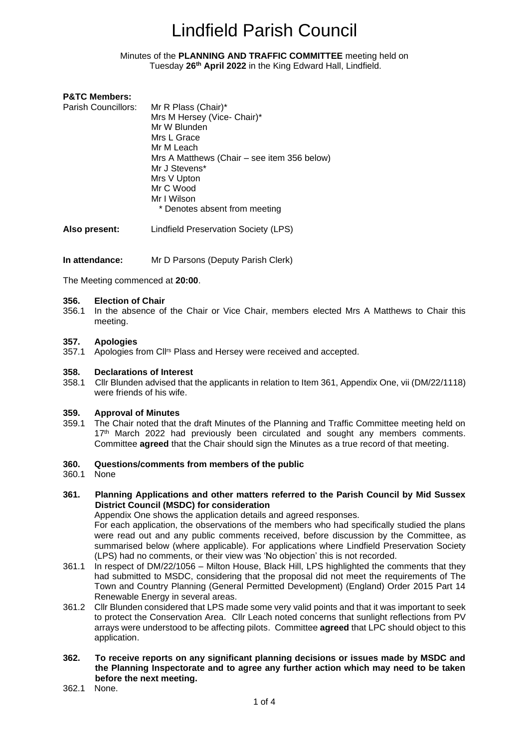#### Minutes of the **PLANNING AND TRAFFIC COMMITTEE** meeting held on Tuesday **26th April 2022** in the King Edward Hall, Lindfield.

### **P&TC Members:**

| Parish Councillors: | Mr R Plass (Chair)*                         |
|---------------------|---------------------------------------------|
|                     | Mrs M Hersey (Vice- Chair)*                 |
|                     | Mr W Blunden                                |
|                     | Mrs L Grace                                 |
|                     | Mr M Leach                                  |
|                     | Mrs A Matthews (Chair – see item 356 below) |
|                     | Mr J Stevens*                               |
|                     | Mrs V Upton                                 |
|                     | Mr C Wood                                   |
|                     | Mr I Wilson                                 |
|                     | * Denotes absent from meeting               |
|                     |                                             |

**Also present:** Lindfield Preservation Society (LPS)

#### **In attendance:** Mr D Parsons (Deputy Parish Clerk)

The Meeting commenced at **20:00**.

#### **356. Election of Chair**

356.1 In the absence of the Chair or Vice Chair, members elected Mrs A Matthews to Chair this meeting.

#### **357. Apologies**

357.1 Apologies from Cll<sup>rs</sup> Plass and Hersey were received and accepted.

#### **358. Declarations of Interest**

358.1 Cllr Blunden advised that the applicants in relation to Item 361, Appendix One, vii (DM/22/1118) were friends of his wife.

#### **359. Approval of Minutes**

359.1 The Chair noted that the draft Minutes of the Planning and Traffic Committee meeting held on 17<sup>th</sup> March 2022 had previously been circulated and sought any members comments. Committee **agreed** that the Chair should sign the Minutes as a true record of that meeting.

#### **360. Questions/comments from members of the public**

360.1 None

#### **361. Planning Applications and other matters referred to the Parish Council by Mid Sussex District Council (MSDC) for consideration**

Appendix One shows the application details and agreed responses.

For each application, the observations of the members who had specifically studied the plans were read out and any public comments received, before discussion by the Committee, as summarised below (where applicable). For applications where Lindfield Preservation Society (LPS) had no comments, or their view was 'No objection' this is not recorded.

- 361.1 In respect of DM/22/1056 Milton House, Black Hill, LPS highlighted the comments that they had submitted to MSDC, considering that the proposal did not meet the requirements of The Town and Country Planning (General Permitted Development) (England) Order 2015 Part 14 Renewable Energy in several areas.
- 361.2 Cllr Blunden considered that LPS made some very valid points and that it was important to seek to protect the Conservation Area. Cllr Leach noted concerns that sunlight reflections from PV arrays were understood to be affecting pilots. Committee **agreed** that LPC should object to this application.

## **362. To receive reports on any significant planning decisions or issues made by MSDC and the Planning Inspectorate and to agree any further action which may need to be taken before the next meeting.**

362.1 None.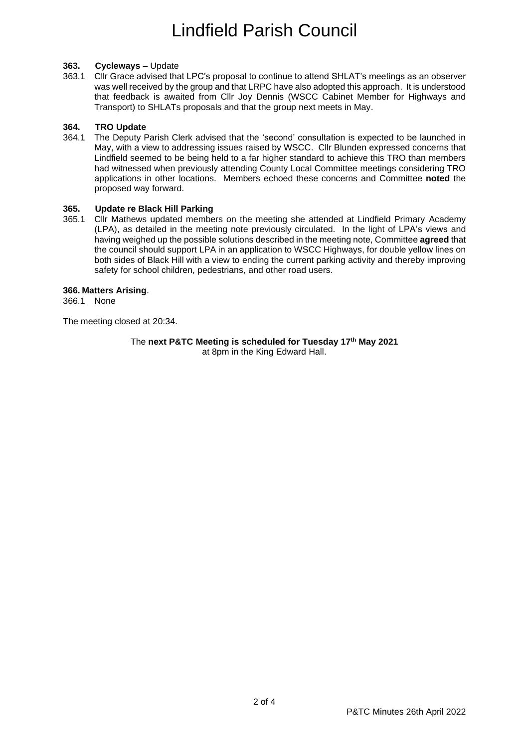### **363. Cycleways** – Update

363.1 Cllr Grace advised that LPC's proposal to continue to attend SHLAT's meetings as an observer was well received by the group and that LRPC have also adopted this approach. It is understood that feedback is awaited from Cllr Joy Dennis (WSCC Cabinet Member for Highways and Transport) to SHLATs proposals and that the group next meets in May.

## **364. TRO Update**

364.1 The Deputy Parish Clerk advised that the 'second' consultation is expected to be launched in May, with a view to addressing issues raised by WSCC. Cllr Blunden expressed concerns that Lindfield seemed to be being held to a far higher standard to achieve this TRO than members had witnessed when previously attending County Local Committee meetings considering TRO applications in other locations. Members echoed these concerns and Committee **noted** the proposed way forward.

### **365. Update re Black Hill Parking**

365.1 Cllr Mathews updated members on the meeting she attended at Lindfield Primary Academy (LPA), as detailed in the meeting note previously circulated. In the light of LPA's views and having weighed up the possible solutions described in the meeting note, Committee **agreed** that the council should support LPA in an application to WSCC Highways, for double yellow lines on both sides of Black Hill with a view to ending the current parking activity and thereby improving safety for school children, pedestrians, and other road users.

## **366. Matters Arising**.

366.1 None

The meeting closed at 20:34.

The **next P&TC Meeting is scheduled for Tuesday 17th May 2021** at 8pm in the King Edward Hall.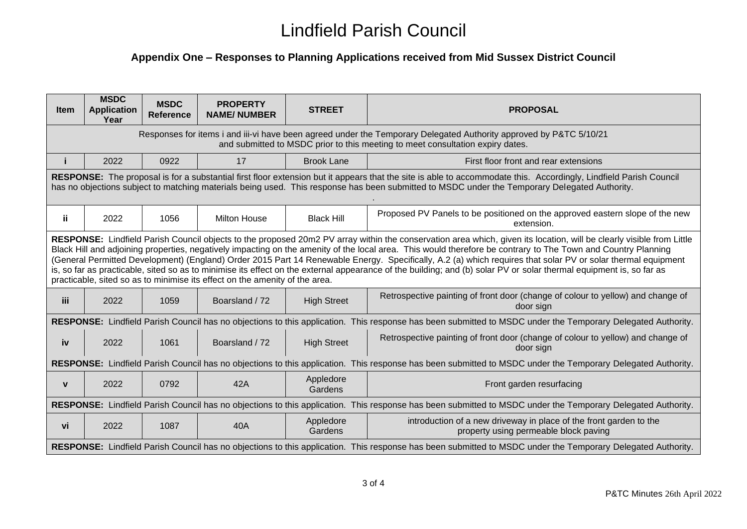# **Appendix One – Responses to Planning Applications received from Mid Sussex District Council**

| <b>Item</b>                                                                                                                                                                                                                                                                                                                                                                                                                                                                                                                                                                                                                                                                                                                                                 | <b>MSDC</b><br><b>Application</b><br>Year | <b>MSDC</b><br><b>Reference</b> | <b>PROPERTY</b><br><b>NAME/NUMBER</b> | <b>STREET</b>        | <b>PROPOSAL</b>                                                                                             |
|-------------------------------------------------------------------------------------------------------------------------------------------------------------------------------------------------------------------------------------------------------------------------------------------------------------------------------------------------------------------------------------------------------------------------------------------------------------------------------------------------------------------------------------------------------------------------------------------------------------------------------------------------------------------------------------------------------------------------------------------------------------|-------------------------------------------|---------------------------------|---------------------------------------|----------------------|-------------------------------------------------------------------------------------------------------------|
| Responses for items i and iii-vi have been agreed under the Temporary Delegated Authority approved by P&TC 5/10/21<br>and submitted to MSDC prior to this meeting to meet consultation expiry dates.                                                                                                                                                                                                                                                                                                                                                                                                                                                                                                                                                        |                                           |                                 |                                       |                      |                                                                                                             |
|                                                                                                                                                                                                                                                                                                                                                                                                                                                                                                                                                                                                                                                                                                                                                             | 2022                                      | 0922                            | 17                                    | <b>Brook Lane</b>    | First floor front and rear extensions                                                                       |
| RESPONSE: The proposal is for a substantial first floor extension but it appears that the site is able to accommodate this. Accordingly, Lindfield Parish Council<br>has no objections subject to matching materials being used. This response has been submitted to MSDC under the Temporary Delegated Authority.                                                                                                                                                                                                                                                                                                                                                                                                                                          |                                           |                                 |                                       |                      |                                                                                                             |
| ii.                                                                                                                                                                                                                                                                                                                                                                                                                                                                                                                                                                                                                                                                                                                                                         | 2022                                      | 1056                            | <b>Milton House</b>                   | <b>Black Hill</b>    | Proposed PV Panels to be positioned on the approved eastern slope of the new<br>extension.                  |
| RESPONSE: Lindfield Parish Council objects to the proposed 20m2 PV array within the conservation area which, given its location, will be clearly visible from Little<br>Black Hill and adjoining properties, negatively impacting on the amenity of the local area. This would therefore be contrary to The Town and Country Planning<br>(General Permitted Development) (England) Order 2015 Part 14 Renewable Energy. Specifically, A.2 (a) which requires that solar PV or solar thermal equipment<br>is, so far as practicable, sited so as to minimise its effect on the external appearance of the building; and (b) solar PV or solar thermal equipment is, so far as<br>practicable, sited so as to minimise its effect on the amenity of the area. |                                           |                                 |                                       |                      |                                                                                                             |
| iii                                                                                                                                                                                                                                                                                                                                                                                                                                                                                                                                                                                                                                                                                                                                                         | 2022                                      | 1059                            | Boarsland / 72                        | <b>High Street</b>   | Retrospective painting of front door (change of colour to yellow) and change of<br>door sign                |
| RESPONSE: Lindfield Parish Council has no objections to this application. This response has been submitted to MSDC under the Temporary Delegated Authority.                                                                                                                                                                                                                                                                                                                                                                                                                                                                                                                                                                                                 |                                           |                                 |                                       |                      |                                                                                                             |
| iv                                                                                                                                                                                                                                                                                                                                                                                                                                                                                                                                                                                                                                                                                                                                                          | 2022                                      | 1061                            | Boarsland / 72                        | <b>High Street</b>   | Retrospective painting of front door (change of colour to yellow) and change of<br>door sign                |
| RESPONSE: Lindfield Parish Council has no objections to this application. This response has been submitted to MSDC under the Temporary Delegated Authority.                                                                                                                                                                                                                                                                                                                                                                                                                                                                                                                                                                                                 |                                           |                                 |                                       |                      |                                                                                                             |
| $\mathbf{V}$                                                                                                                                                                                                                                                                                                                                                                                                                                                                                                                                                                                                                                                                                                                                                | 2022                                      | 0792                            | 42A                                   | Appledore<br>Gardens | Front garden resurfacing                                                                                    |
| RESPONSE: Lindfield Parish Council has no objections to this application. This response has been submitted to MSDC under the Temporary Delegated Authority.                                                                                                                                                                                                                                                                                                                                                                                                                                                                                                                                                                                                 |                                           |                                 |                                       |                      |                                                                                                             |
| vi                                                                                                                                                                                                                                                                                                                                                                                                                                                                                                                                                                                                                                                                                                                                                          | 2022                                      | 1087                            | 40A                                   | Appledore<br>Gardens | introduction of a new driveway in place of the front garden to the<br>property using permeable block paving |
| RESPONSE: Lindfield Parish Council has no objections to this application. This response has been submitted to MSDC under the Temporary Delegated Authority.                                                                                                                                                                                                                                                                                                                                                                                                                                                                                                                                                                                                 |                                           |                                 |                                       |                      |                                                                                                             |